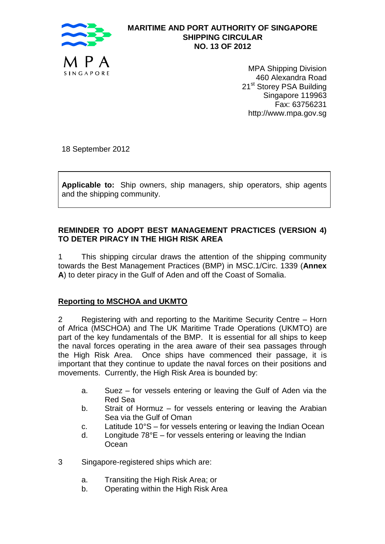

# **MARITIME AND PORT AUTHORITY OF SINGAPORE SHIPPING CIRCULAR NO. 13 OF 2012**

MPA Shipping Division 460 Alexandra Road 21<sup>st</sup> Storey PSA Building Singapore 119963 Fax: 63756231 http://www.mpa.gov.sg

18 September 2012

**Applicable to:** Ship owners, ship managers, ship operators, ship agents and the shipping community.

### **REMINDER TO ADOPT BEST MANAGEMENT PRACTICES (VERSION 4) TO DETER PIRACY IN THE HIGH RISK AREA**

1 This shipping circular draws the attention of the shipping community towards the Best Management Practices (BMP) in MSC.1/Circ. 1339 (**Annex A**) to deter piracy in the Gulf of Aden and off the Coast of Somalia.

#### **Reporting to MSCHOA and UKMTO**

2 Registering with and reporting to the Maritime Security Centre – Horn of Africa (MSCHOA) and The UK Maritime Trade Operations (UKMTO) are part of the key fundamentals of the BMP. It is essential for all ships to keep the naval forces operating in the area aware of their sea passages through the High Risk Area. Once ships have commenced their passage, it is important that they continue to update the naval forces on their positions and movements. Currently, the High Risk Area is bounded by:

- a. Suez for vessels entering or leaving the Gulf of Aden via the Red Sea
- b. Strait of Hormuz for vessels entering or leaving the Arabian Sea via the Gulf of Oman
- c. Latitude 10°S for vessels entering or leaving the Indian Ocean
- d. Longitude 78°E for vessels entering or leaving the Indian **Ocean**
- 3 Singapore-registered ships which are:
	- a. Transiting the High Risk Area; or
	- b. Operating within the High Risk Area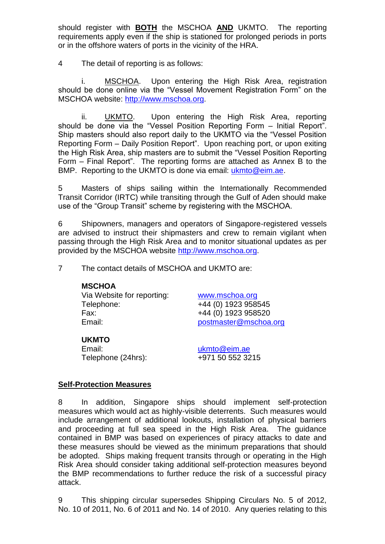should register with **BOTH** the MSCHOA **AND** UKMTO. The reporting requirements apply even if the ship is stationed for prolonged periods in ports or in the offshore waters of ports in the vicinity of the HRA.

4 The detail of reporting is as follows:

i. MSCHOA. Upon entering the High Risk Area, registration should be done online via the "Vessel Movement Registration Form" on the MSCHOA website: [http://www.mschoa.org.](http://www.mschoa.org/)

ii. UKMTO. Upon entering the High Risk Area, reporting should be done via the "Vessel Position Reporting Form – Initial Report". Ship masters should also report daily to the UKMTO via the "Vessel Position Reporting Form – Daily Position Report". Upon reaching port, or upon exiting the High Risk Area, ship masters are to submit the "Vessel Position Reporting Form – Final Report". The reporting forms are attached as Annex B to the BMP. Reporting to the UKMTO is done via email: [ukmto@eim.ae.](mailto:ukmto@eim.ae)

5 Masters of ships sailing within the Internationally Recommended Transit Corridor (IRTC) while transiting through the Gulf of Aden should make use of the "Group Transit" scheme by registering with the MSCHOA.

6 Shipowners, managers and operators of Singapore-registered vessels are advised to instruct their shipmasters and crew to remain vigilant when passing through the High Risk Area and to monitor situational updates as per provided by the MSCHOA website [http://www.mschoa.org.](http://www.mschoa.org/)

7 The contact details of MSCHOA and UKMTO are:

# **MSCHOA** Via Website for reporting: [www.mschoa.org](http://www.mschoa.org/) Telephone: +44 (0) 1923 958545 Fax: +44 (0) 1923 958520 Email: [postmaster@mschoa.org](mailto:postmaster@mschoa.org)

# **UKMTO**

Email: [ukmto@eim.ae](mailto:ukmto@eim.ae) Telephone (24hrs): +971 50 552 3215

# **Self-Protection Measures**

8 In addition, Singapore ships should implement self-protection measures which would act as highly-visible deterrents. Such measures would include arrangement of additional lookouts, installation of physical barriers and proceeding at full sea speed in the High Risk Area. The guidance contained in BMP was based on experiences of piracy attacks to date and these measures should be viewed as the minimum preparations that should be adopted. Ships making frequent transits through or operating in the High Risk Area should consider taking additional self-protection measures beyond the BMP recommendations to further reduce the risk of a successful piracy attack.

9 This shipping circular supersedes Shipping Circulars No. 5 of 2012, No. 10 of 2011, No. 6 of 2011 and No. 14 of 2010. Any queries relating to this